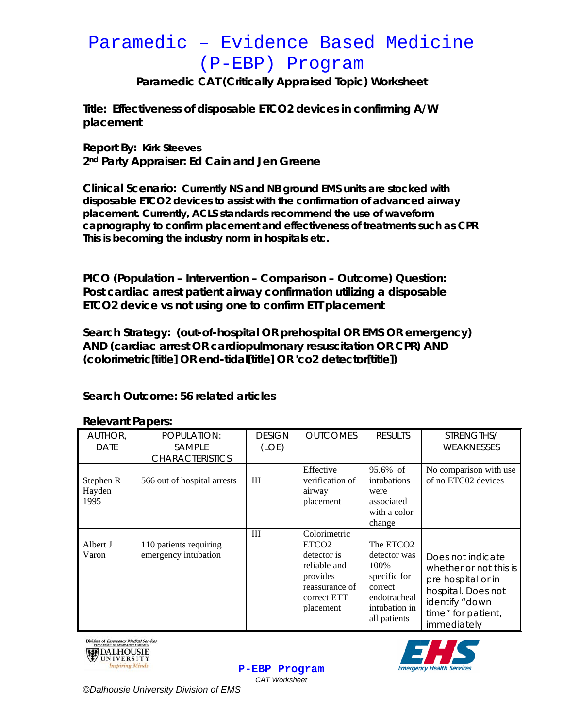# Paramedic - Evidence Based Medicine (P-EBP) Program

Paramedic CAT (Critically Appraised Topic) Worksheet

Title: Effectiveness of disposable ETCO2 devices in confirming A/W placement

**Report By: Kirk Steeves** 2<sup>nd</sup> Party Appraiser: Ed Cain and Jen Greene

Clinical Scenario: Currently NS and NB ground EMS units are stocked with disposable ETCO2 devices to assist with the confirmation of advanced airway placement. Currently, ACLS standards recommend the use of waveform capnography to confirm placement and effectiveness of treatments such as CPR This is becoming the industry norm in hospitals etc.

PICO (Population – Intervention – Comparison – Outcome) Question: Post cardiac arrest patient airway confirmation utilizing a disposable ETCO2 device vs not using one to confirm ETT placement

Search Strategy: (out-of-hospital OR prehospital OR EMS OR emergency) AND (cardiac arrest OR cardiopulmonary resuscitation OR CPR) AND (colorimetric[title] OR end-tidal[title] OR 'co2 detector[title])

## Search Outcome: 56 related articles

| AUTHOR,                     | POPULATION:                                    | <b>DESIGN</b> | <b>OUTCOMES</b>                                                                                                            | <b>RESULTS</b>                                                                                                            | STRENGTHS/                                                                                                                                     |
|-----------------------------|------------------------------------------------|---------------|----------------------------------------------------------------------------------------------------------------------------|---------------------------------------------------------------------------------------------------------------------------|------------------------------------------------------------------------------------------------------------------------------------------------|
| <b>DATE</b>                 | <b>SAMPLE</b>                                  | (LOE)         |                                                                                                                            |                                                                                                                           | WEAKNESSES                                                                                                                                     |
|                             | <b>CHARACTERISTICS</b>                         |               |                                                                                                                            |                                                                                                                           |                                                                                                                                                |
| Stephen R<br>Hayden<br>1995 | 566 out of hospital arrests                    | Ш             | Effective<br>verification of<br>airway<br>placement                                                                        | 95.6% of<br>intubations<br>were<br>associated<br>with a color<br>change                                                   | No comparison with use<br>of no ETC02 devices                                                                                                  |
| Albert J<br>Varon           | 110 patients requiring<br>emergency intubation | Ш             | Colorimetric<br>ETCO <sub>2</sub><br>detector is<br>reliable and<br>provides<br>reassurance of<br>correct ETT<br>placement | The ETCO <sub>2</sub><br>detector was<br>100%<br>specific for<br>correct<br>endotracheal<br>intubation in<br>all patients | Does not indicate<br>whether or not this is<br>pre hospital or in<br>hospital. Does not<br>identify "down<br>time" for patient,<br>immediately |

P-EBP Program **CAT Worksheet** 

#### **Relevant Papers:**





©Dalhousie University Division of EMS